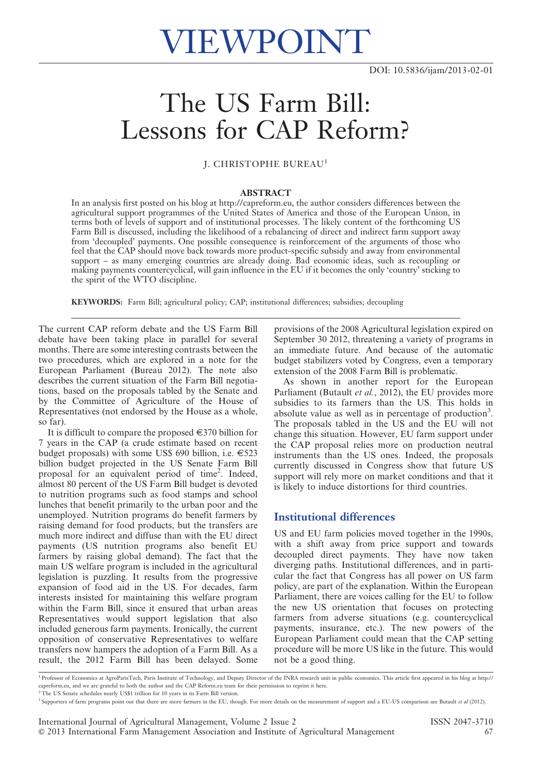# VIEWPOINT

# The US Farm Bill: Lessons for CAP Reform?

J. CHRISTOPHE BUREAU<sup>1</sup>

#### ABSTRACT

In an analysis first posted on his blog at http://capreform.eu, the author considers differences between the agricultural support programmes of the United States of America and those of the European Union, in terms both of levels of support and of institutional processes. The likely content of the forthcoming US Farm Bill is discussed, including the likelihood of a rebalancing of direct and indirect farm support away from 'decoupled' payments. One possible consequence is reinforcement of the arguments of those who feel that the CAP should move back towards more product-specific subsidy and away from environmental support – as many emerging countries are already doing. Bad economic ideas, such as recoupling or making payments countercyclical, will gain influence in the EU if it becomes the only 'country' sticking to the spirit of the WTO discipline.

KEYWORDS: Farm Bill; agricultural policy; CAP; institutional differences; subsidies; decoupling

The current CAP reform debate and the US Farm Bill debate have been taking place in parallel for several months. There are some interesting contrasts between the two procedures, which are explored in a note for the European Parliament (Bureau 2012). The note also describes the current situation of the Farm Bill negotiations, based on the proposals tabled by the Senate and by the Committee of Agriculture of the House of Representatives (not endorsed by the House as a whole, so far).

It is difficult to compare the proposed  $\in 370$  billion for 7 years in the CAP (a crude estimate based on recent budget proposals) with some US\$ 690 billion, i.e.  $\in$  523 billion budget projected in the US Senate Farm Bill proposal for an equivalent period of time<sup>2</sup>. Indeed, almost 80 percent of the US Farm Bill budget is devoted to nutrition programs such as food stamps and school lunches that benefit primarily to the urban poor and the unemployed. Nutrition programs do benefit farmers by raising demand for food products, but the transfers are much more indirect and diffuse than with the EU direct payments (US nutrition programs also benefit EU farmers by raising global demand). The fact that the main US welfare program is included in the agricultural legislation is puzzling. It results from the progressive expansion of food aid in the US. For decades, farm interests insisted for maintaining this welfare program within the Farm Bill, since it ensured that urban areas Representatives would support legislation that also included generous farm payments. Ironically, the current opposition of conservative Representatives to welfare transfers now hampers the adoption of a Farm Bill. As a result, the 2012 Farm Bill has been delayed. Some

provisions of the 2008 Agricultural legislation expired on September 30 2012, threatening a variety of programs in an immediate future. And because of the automatic budget stabilizers voted by Congress, even a temporary extension of the 2008 Farm Bill is problematic.

As shown in another report for the European Parliament (Butault et al., 2012), the EU provides more subsidies to its farmers than the US. This holds in absolute value as well as in percentage of production<sup>3</sup>. The proposals tabled in the US and the EU will not change this situation. However, EU farm support under the CAP proposal relies more on production neutral instruments than the US ones. Indeed, the proposals currently discussed in Congress show that future US support will rely more on market conditions and that it is likely to induce distortions for third countries.

#### Institutional differences

US and EU farm policies moved together in the 1990s, with a shift away from price support and towards decoupled direct payments. They have now taken diverging paths. Institutional differences, and in particular the fact that Congress has all power on US farm policy, are part of the explanation. Within the European Parliament, there are voices calling for the EU to follow the new US orientation that focuses on protecting farmers from adverse situations (e.g. countercyclical payments, insurance, etc.). The new powers of the European Parliament could mean that the CAP setting procedure will be more US like in the future. This would not be a good thing.

<sup>1</sup> Professor of Economics at AgroParisTech, Paris Institute of Technology, and Deputy Director of the INRA research unit in public economics. This article first appeared in his blog at http:// capreform.eu, and we are grateful to both the author and the CAP Reform.eu team for their permission to reprint it here.

<sup>&</sup>lt;sup>2</sup> The US Senate schedules nearly US\$1 trillion for 10 years in its Farm Bill version.

<sup>&</sup>lt;sup>3</sup> Supporters of farm programs point out that there are more farmers in the EU, though. For more details on the measurement of support and a EU-US comparison see Butault et al (2012).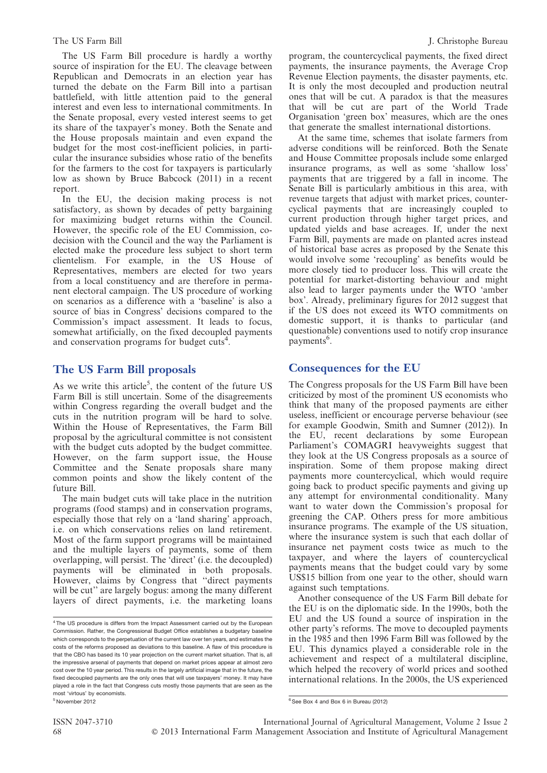The US Farm Bill procedure is hardly a worthy source of inspiration for the EU. The cleavage between Republican and Democrats in an election year has turned the debate on the Farm Bill into a partisan battlefield, with little attention paid to the general interest and even less to international commitments. In the Senate proposal, every vested interest seems to get its share of the taxpayer's money. Both the Senate and the House proposals maintain and even expand the budget for the most cost-inefficient policies, in particular the insurance subsidies whose ratio of the benefits for the farmers to the cost for taxpayers is particularly low as shown by Bruce Babcock (2011) in a recent report.

In the EU, the decision making process is not satisfactory, as shown by decades of petty bargaining for maximizing budget returns within the Council. However, the specific role of the EU Commission, codecision with the Council and the way the Parliament is elected make the procedure less subject to short term clientelism. For example, in the US House of Representatives, members are elected for two years from a local constituency and are therefore in permanent electoral campaign. The US procedure of working on scenarios as a difference with a 'baseline' is also a source of bias in Congress' decisions compared to the Commission's impact assessment. It leads to focus, somewhat artificially, on the fixed decoupled payments and conservation programs for budget cuts<sup>4</sup>.

# The US Farm Bill proposals

As we write this article<sup>5</sup>, the content of the future US Farm Bill is still uncertain. Some of the disagreements within Congress regarding the overall budget and the cuts in the nutrition program will be hard to solve. Within the House of Representatives, the Farm Bill proposal by the agricultural committee is not consistent with the budget cuts adopted by the budget committee. However, on the farm support issue, the House Committee and the Senate proposals share many common points and show the likely content of the future Bill.

The main budget cuts will take place in the nutrition programs (food stamps) and in conservation programs, especially those that rely on a 'land sharing' approach, i.e. on which conservations relies on land retirement. Most of the farm support programs will be maintained and the multiple layers of payments, some of them overlapping, will persist. The 'direct' (i.e. the decoupled) payments will be eliminated in both proposals. However, claims by Congress that "direct payments will be cut" are largely bogus: among the many different layers of direct payments, i.e. the marketing loans program, the countercyclical payments, the fixed direct payments, the insurance payments, the Average Crop Revenue Election payments, the disaster payments, etc. It is only the most decoupled and production neutral ones that will be cut. A paradox is that the measures that will be cut are part of the World Trade Organisation 'green box' measures, which are the ones that generate the smallest international distortions.

At the same time, schemes that isolate farmers from adverse conditions will be reinforced. Both the Senate and House Committee proposals include some enlarged insurance programs, as well as some 'shallow loss' payments that are triggered by a fall in income. The Senate Bill is particularly ambitious in this area, with revenue targets that adjust with market prices, countercyclical payments that are increasingly coupled to current production through higher target prices, and updated yields and base acreages. If, under the next Farm Bill, payments are made on planted acres instead of historical base acres as proposed by the Senate this would involve some 'recoupling' as benefits would be more closely tied to producer loss. This will create the potential for market-distorting behaviour and might also lead to larger payments under the WTO 'amber box'. Already, preliminary figures for 2012 suggest that if the US does not exceed its WTO commitments on domestic support, it is thanks to particular (and questionable) conventions used to notify crop insurance payments<sup>6</sup>.

# Consequences for the EU

The Congress proposals for the US Farm Bill have been criticized by most of the prominent US economists who think that many of the proposed payments are either useless, inefficient or encourage perverse behaviour (see for example Goodwin, Smith and Sumner (2012)). In the EU, recent declarations by some European Parliament's COMAGRI heavyweights suggest that they look at the US Congress proposals as a source of inspiration. Some of them propose making direct payments more countercyclical, which would require going back to product specific payments and giving up any attempt for environmental conditionality. Many want to water down the Commission's proposal for greening the CAP. Others press for more ambitious insurance programs. The example of the US situation, where the insurance system is such that each dollar of insurance net payment costs twice as much to the taxpayer, and where the layers of countercyclical payments means that the budget could vary by some US\$15 billion from one year to the other, should warn against such temptations.

Another consequence of the US Farm Bill debate for the EU is on the diplomatic side. In the 1990s, both the EU and the US found a source of inspiration in the other party's reforms. The move to decoupled payments in the 1985 and then 1996 Farm Bill was followed by the EU. This dynamics played a considerable role in the achievement and respect of a multilateral discipline, which helped the recovery of world prices and soothed international relations. In the 2000s, the US experienced

<sup>4</sup> The US procedure is differs from the Impact Assessment carried out by the European Commission. Rather, the Congressional Budget Office establishes a budgetary baseline which corresponds to the perpetuation of the current law over ten years, and estimates the costs of the reforms proposed as deviations to this baseline. A flaw of this procedure is that the CBO has based its 10 year projection on the current market situation. That is, all the impressive arsenal of payments that depend on market prices appear at almost zero cost over the 10 year period. This results in the largely artificial image that in the future, the fixed decoupled payments are the only ones that will use taxpayers' money. It may have played a role in the fact that Congress cuts mostly those payments that are seen as the most 'virtous' by economists.<br>
<sup>5</sup> November 2012

 $6$  See Box 4 and Box 6 in Bureau (2012)